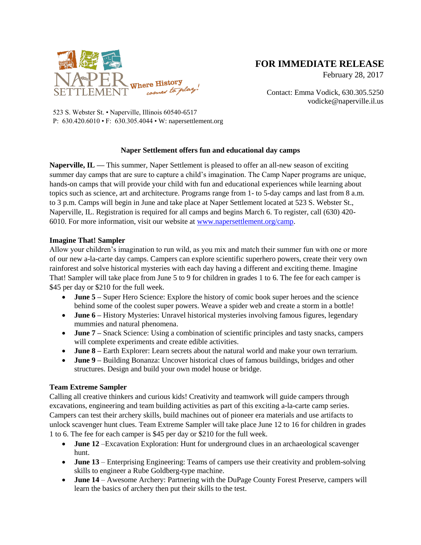

# **FOR IMMEDIATE RELEASE**

February 28, 2017

Contact: Emma Vodick, 630.305.5250 vodicke@naperville.il.us

523 S. Webster St. • Naperville, Illinois 60540-6517 P: 630.420.6010 • F: 630.305.4044 • W: napersettlement.org

# **Naper Settlement offers fun and educational day camps**

**Naperville, IL — This summer, Naper Settlement is pleased to offer an all-new season of exciting** summer day camps that are sure to capture a child's imagination. The Camp Naper programs are unique, hands-on camps that will provide your child with fun and educational experiences while learning about topics such as science, art and architecture. Programs range from 1- to 5-day camps and last from 8 a.m. to 3 p.m. Camps will begin in June and take place at Naper Settlement located at 523 S. Webster St., Naperville, IL. Registration is required for all camps and begins March 6. To register, call (630) 420- 6010. For more information, visit our website at [www.napersettlement.org/camp.](http://www.napersettlement.org/camp)

# **Imagine That! Sampler**

Allow your children's imagination to run wild, as you mix and match their summer fun with one or more of our new a-la-carte day camps. Campers can explore scientific superhero powers, create their very own rainforest and solve historical mysteries with each day having a different and exciting theme. Imagine That! Sampler will take place from June 5 to 9 for children in grades 1 to 6. The fee for each camper is \$45 per day or \$210 for the full week.

- **June 5** Super Hero Science: Explore the history of comic book super heroes and the science behind some of the coolest super powers. Weave a spider web and create a storm in a bottle!
- **June 6** History Mysteries: Unravel historical mysteries involving famous figures, legendary mummies and natural phenomena.
- **June 7 –** Snack Science: Using a combination of scientific principles and tasty snacks, campers will complete experiments and create edible activities.
- **June 8 –** Earth Explorer: Learn secrets about the natural world and make your own terrarium.
- **June 9 –** Building Bonanza: Uncover historical clues of famous buildings, bridges and other structures. Design and build your own model house or bridge.

## **Team Extreme Sampler**

Calling all creative thinkers and curious kids! Creativity and teamwork will guide campers through excavations, engineering and team building activities as part of this exciting a-la-carte camp series. Campers can test their archery skills, build machines out of pioneer era materials and use artifacts to unlock scavenger hunt clues. Team Extreme Sampler will take place June 12 to 16 for children in grades 1 to 6. The fee for each camper is \$45 per day or \$210 for the full week.

- **June 12** –Excavation Exploration: Hunt for underground clues in an archaeological scavenger hunt.
- **June 13** Enterprising Engineering: Teams of campers use their creativity and problem-solving skills to engineer a Rube Goldberg-type machine.
- **June 14** Awesome Archery: Partnering with the DuPage County Forest Preserve, campers will learn the basics of archery then put their skills to the test.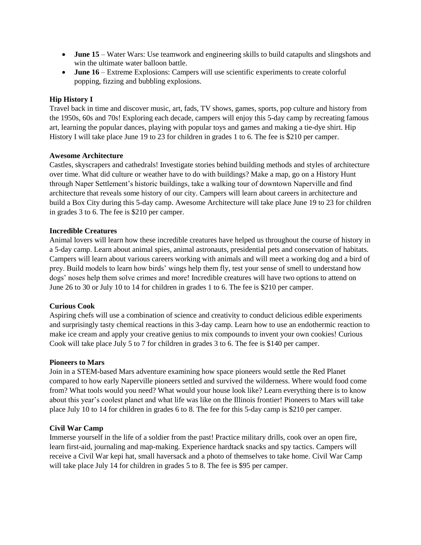- **June 15** Water Wars: Use teamwork and engineering skills to build catapults and slingshots and win the ultimate water balloon battle.
- **June 16** Extreme Explosions: Campers will use scientific experiments to create colorful popping, fizzing and bubbling explosions.

## **Hip History I**

Travel back in time and discover music, art, fads, TV shows, games, sports, pop culture and history from the 1950s, 60s and 70s! Exploring each decade, campers will enjoy this 5-day camp by recreating famous art, learning the popular dances, playing with popular toys and games and making a tie-dye shirt. Hip History I will take place June 19 to 23 for children in grades 1 to 6. The fee is \$210 per camper.

## **Awesome Architecture**

Castles, skyscrapers and cathedrals! Investigate stories behind building methods and styles of architecture over time. What did culture or weather have to do with buildings? Make a map, go on a History Hunt through Naper Settlement's historic buildings, take a walking tour of downtown Naperville and find architecture that reveals some history of our city. Campers will learn about careers in architecture and build a Box City during this 5-day camp. Awesome Architecture will take place June 19 to 23 for children in grades 3 to 6. The fee is \$210 per camper.

## **Incredible Creatures**

Animal lovers will learn how these incredible creatures have helped us throughout the course of history in a 5-day camp. Learn about animal spies, animal astronauts, presidential pets and conservation of habitats. Campers will learn about various careers working with animals and will meet a working dog and a bird of prey. Build models to learn how birds' wings help them fly, test your sense of smell to understand how dogs' noses help them solve crimes and more! Incredible creatures will have two options to attend on June 26 to 30 or July 10 to 14 for children in grades 1 to 6. The fee is \$210 per camper.

## **Curious Cook**

Aspiring chefs will use a combination of science and creativity to conduct delicious edible experiments and surprisingly tasty chemical reactions in this 3-day camp. Learn how to use an endothermic reaction to make ice cream and apply your creative genius to mix compounds to invent your own cookies! Curious Cook will take place July 5 to 7 for children in grades 3 to 6. The fee is \$140 per camper.

## **Pioneers to Mars**

Join in a STEM-based Mars adventure examining how space pioneers would settle the Red Planet compared to how early Naperville pioneers settled and survived the wilderness. Where would food come from? What tools would you need? What would your house look like? Learn everything there is to know about this year's coolest planet and what life was like on the Illinois frontier! Pioneers to Mars will take place July 10 to 14 for children in grades 6 to 8. The fee for this 5-day camp is \$210 per camper.

## **Civil War Camp**

Immerse yourself in the life of a soldier from the past! Practice military drills, cook over an open fire, learn first-aid, journaling and map-making. Experience hardtack snacks and spy tactics. Campers will receive a Civil War kepi hat, small haversack and a photo of themselves to take home. Civil War Camp will take place July 14 for children in grades 5 to 8. The fee is \$95 per camper.